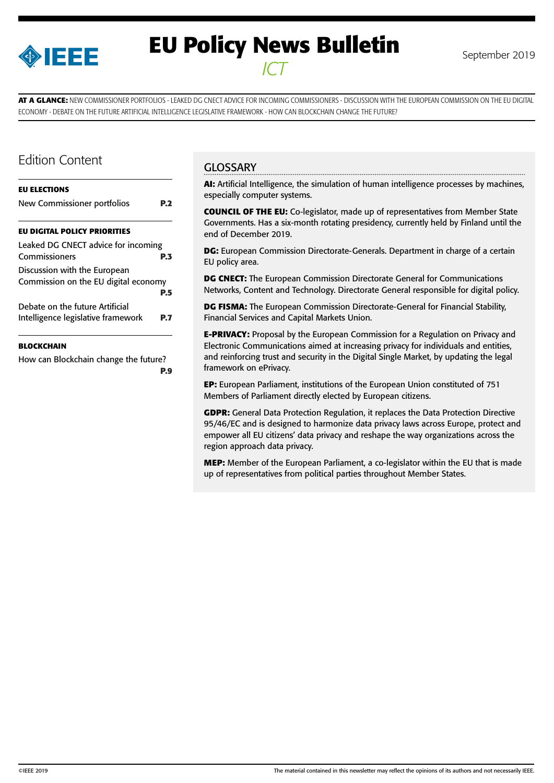

# **EU Policy News Bulletin** September 2019 *ICT*

**AT A GLANCE:** NEW COMMISSIONER PORTFOLIOS - LEAKED DG CNECT ADVICE FOR INCOMING COMMISSIONERS - DISCUSSION WITH THE EUROPEAN COMMISSION ON THE EU DIGITAL ECONOMY - DEBATE ON THE FUTURE ARTIFICIAL INTELLIGENCE LEGISLATIVE FRAMEWORK - HOW CAN BLOCKCHAIN CHANGE THE FUTURE?

### Edition Content

| <b>EU ELECTIONS</b>                                                   |     |
|-----------------------------------------------------------------------|-----|
| New Commissioner portfolios                                           | P.2 |
| <b>EU DIGITAL POLICY PRIORITIES</b>                                   |     |
| Leaked DG CNECT advice for incoming<br>Commissioners                  | P.3 |
| Discussion with the European<br>Commission on the EU digital economy  | P.5 |
| Debate on the future Artificial<br>Intelligence legislative framework | P 7 |

#### **[BLOCKCHAIN](#page-8-0)**

[How can Blockchain change the future?](#page-8-0) **[P.9](#page-8-0)**

### **GLOSSARY**

**AI:** Artificial Intelligence, the simulation of human intelligence processes by machines, especially computer systems.

**COUNCIL OF THE EU:** Co-legislator, made up of representatives from Member State Governments. Has a six-month rotating presidency, currently held by Finland until the end of December 2019.

**DG:** European Commission Directorate-Generals. Department in charge of a certain EU policy area.

**DG CNECT:** The European Commission Directorate General for Communications Networks, Content and Technology. Directorate General responsible for digital policy.

**DG FISMA:** The European Commission Directorate-General for Financial Stability, Financial Services and Capital Markets Union.

**E-PRIVACY:** Proposal by the European Commission for a Regulation on Privacy and Electronic Communications aimed at increasing privacy for individuals and entities, and reinforcing trust and security in the Digital Single Market, by updating the legal framework on ePrivacy.

**EP:** European Parliament, institutions of the European Union constituted of 751 Members of Parliament directly elected by European citizens.

**GDPR:** General Data Protection Regulation, it replaces the Data Protection Directive 95/46/EC and is designed to harmonize data privacy laws across Europe, protect and empower all EU citizens' data privacy and reshape the way organizations across the region approach data privacy.

**MEP:** Member of the European Parliament, a co-legislator within the EU that is made up of representatives from political parties throughout Member States.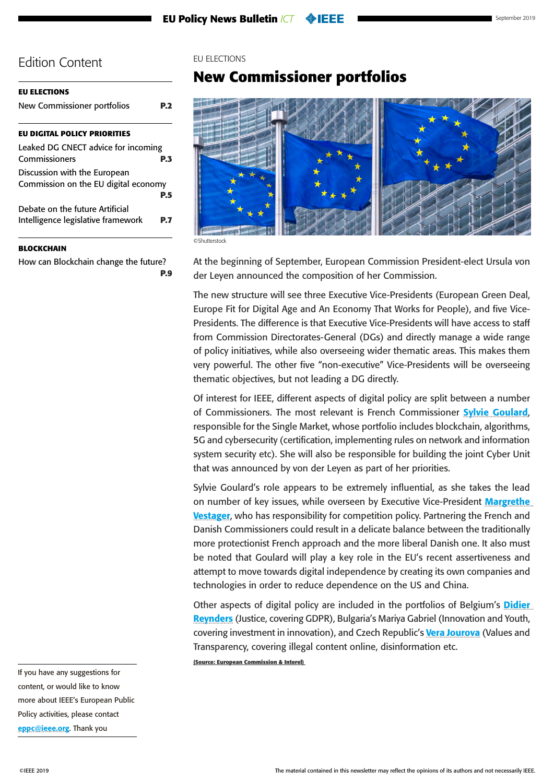<span id="page-1-0"></span>

| <b>EU ELECTIONS</b>                                                   |     |
|-----------------------------------------------------------------------|-----|
| New Commissioner portfolios                                           |     |
| <b>EU DIGITAL POLICY PRIORITIES</b>                                   |     |
| Leaked DG CNECT advice for incoming<br>Commissioners                  |     |
| Discussion with the European<br>Commission on the EU digital economy  |     |
|                                                                       | P.5 |
| Debate on the future Artificial<br>Intelligence legislative framework |     |

#### **[BLOCKCHAIN](#page-8-0)**

[How can Blockchain change the future?](#page-8-0) **[P.9](#page-8-0)**

#### EU ELECTIONS

# **New Commissioner portfolios**



©Shutterstock

At the beginning of September, European Commission President-elect Ursula von der Leyen announced the composition of her Commission.

The new structure will see three Executive Vice-Presidents (European Green Deal, Europe Fit for Digital Age and An Economy That Works for People), and five Vice-Presidents. The difference is that Executive Vice-Presidents will have access to staff from Commission Directorates-General (DGs) and directly manage a wide range of policy initiatives, while also overseeing wider thematic areas. This makes them very powerful. The other five "non-executive" Vice-Presidents will be overseeing thematic objectives, but not leading a DG directly.

Of interest for IEEE, different aspects of digital policy are split between a number of Commissioners. The most relevant is French Commissioner [Sylvie Goulard](https://ec.europa.eu/commission/sites/beta-political/files/mission-letter-sylvie-goulard_en.pdf), responsible for the Single Market, whose portfolio includes blockchain, algorithms, 5G and cybersecurity (certification, implementing rules on network and information system security etc). She will also be responsible for building the joint Cyber Unit that was announced by von der Leyen as part of her priorities.

Sylvie Goulard's role appears to be extremely influential, as she takes the lead on number of key issues, while overseen by Executive Vice-President Margrethe [Vestager](https://ec.europa.eu/commission/sites/beta-political/files/mission-letter-margrethe-vestager_2019_en.pdf), who has responsibility for competition policy. Partnering the French and Danish Commissioners could result in a delicate balance between the traditionally more protectionist French approach and the more liberal Danish one. It also must be noted that Goulard will play a key role in the EU's recent assertiveness and attempt to move towards digital independence by creating its own companies and technologies in order to reduce dependence on the US and China.

Other aspects of digital policy are included in the portfolios of Belgium's **Didier** [Reynders](https://ec.europa.eu/commission/sites/beta-political/files/mission-letter-didier-reynders-2019_enpdf.pdf) (Justice, covering GDPR), Bulgaria's [Mariya Gabriel](https://ec.europa.eu/commission/sites/beta-political/files/mission-letter-mariya-gabriel-2019_en.pdf) (Innovation and Youth, covering investment in innovation), and Czech Republic's [Vera Jourova](https://ec.europa.eu/commission/sites/beta-political/files/mission-letter-vera-jourova-2019_en.pdf) (Values and Transparency, covering illegal content online, disinformation etc.

**(Source: European Commission & Interel)**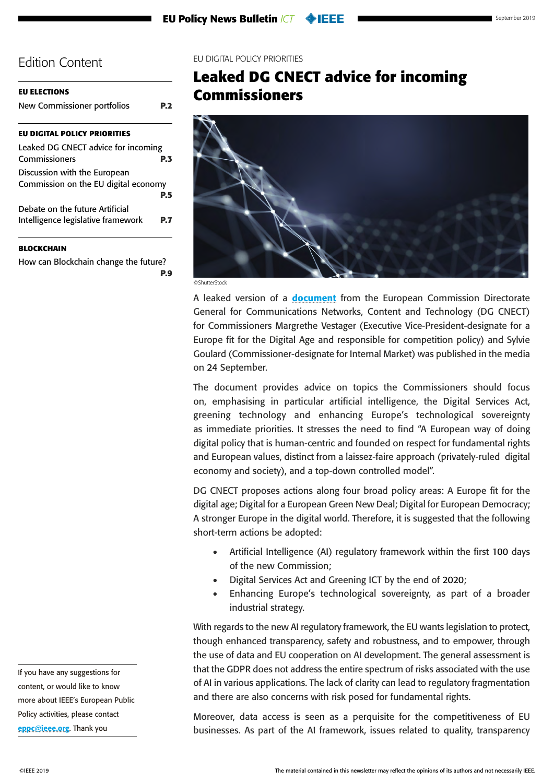<span id="page-2-0"></span>

| <b>EU ELECTIONS</b>                  |     |
|--------------------------------------|-----|
| New Commissioner portfolios          | P.2 |
| <b>EU DIGITAL POLICY PRIORITIES</b>  |     |
| Leaked DG CNECT advice for incoming  |     |
| Commissioners                        | P.3 |
| Discussion with the European         |     |
| Commission on the EU digital economy |     |
|                                      | P.5 |
| Debate on the future Artificial      |     |
| Intelligence legislative framework   | P 7 |
|                                      |     |
|                                      |     |

#### **[BLOCKCHAIN](#page-8-0)**

[How can Blockchain change the future?](#page-8-0) **[P.9](#page-8-0)** EU DIGITAL POLICY PRIORITIES

# **Leaked DG CNECT advice for incoming Commissioners**



©ShutterStock

A leaked version of a **[document](https://politico.us8.list-manage.com/track/click?u=e26c1a1c392386a968d02fdbc&id=1da6d989b7&e=17fc391f2c\)** from the European Commission Directorate General for Communications Networks, Content and Technology (DG CNECT) for Commissioners Margrethe Vestager (Executive Vice-President-designate for a Europe fit for the Digital Age and responsible for competition policy) and Sylvie Goulard (Commissioner-designate for Internal Market) was published in the media on 24 September.

The document provides advice on topics the Commissioners should focus on, emphasising in particular artificial intelligence, the Digital Services Act, greening technology and enhancing Europe's technological sovereignty as immediate priorities. It stresses the need to find "A European way of doing digital policy that is human-centric and founded on respect for fundamental rights and European values, distinct from a laissez-faire approach (privately-ruled digital economy and society), and a top-down controlled model".

DG CNECT proposes actions along four broad policy areas: A Europe fit for the digital age; Digital for a European Green New Deal; Digital for European Democracy; A stronger Europe in the digital world. Therefore, it is suggested that the following short-term actions be adopted:

- Artificial Intelligence (AI) regulatory framework within the first 100 days of the new Commission;
- Digital Services Act and Greening ICT by the end of 2020;
- Enhancing Europe's technological sovereignty, as part of a broader industrial strategy.

With regards to the new AI regulatory framework, the EU wants legislation to protect, though enhanced transparency, safety and robustness, and to empower, through the use of data and EU cooperation on AI development. The general assessment is that the GDPR does not address the entire spectrum of risks associated with the use of AI in various applications. The lack of clarity can lead to regulatory fragmentation and there are also concerns with risk posed for fundamental rights.

Moreover, data access is seen as a perquisite for the competitiveness of EU businesses. As part of the AI framework, issues related to quality, transparency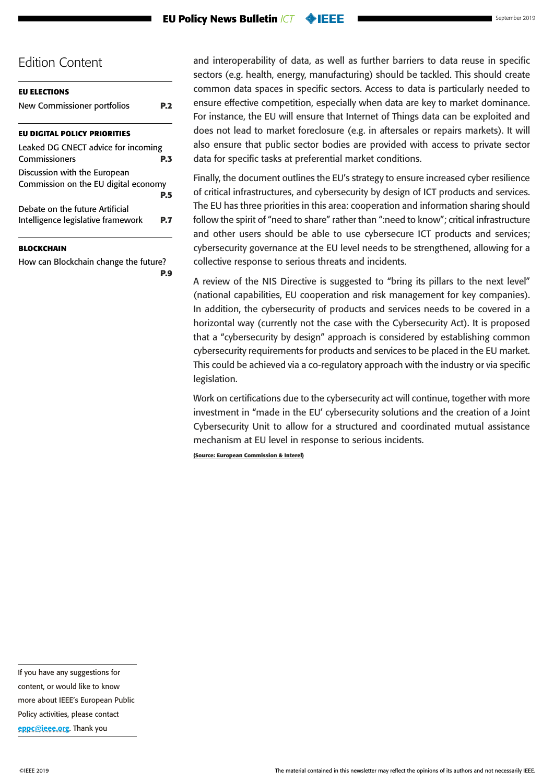#### **EU Policy News Bulletin** *ICT*

### Edition Content

| <b>EU ELECTIONS</b>                                                   |            |
|-----------------------------------------------------------------------|------------|
| New Commissioner portfolios                                           | P 7        |
| <b>EU DIGITAL POLICY PRIORITIES</b>                                   |            |
| Leaked DG CNECT advice for incoming<br>Commissioners                  | <b>P.3</b> |
| Discussion with the European<br>Commission on the EU digital economy  |            |
|                                                                       | P.5        |
| Debate on the future Artificial<br>Intelligence legislative framework |            |

#### **[BLOCKCHAIN](#page-8-0)**

[How can Blockchain change the future?](#page-8-0) **[P.9](#page-8-0)** and interoperability of data, as well as further barriers to data reuse in specific sectors (e.g. health, energy, manufacturing) should be tackled. This should create common data spaces in specific sectors. Access to data is particularly needed to ensure effective competition, especially when data are key to market dominance. For instance, the EU will ensure that Internet of Things data can be exploited and does not lead to market foreclosure (e.g. in aftersales or repairs markets). It will also ensure that public sector bodies are provided with access to private sector data for specific tasks at preferential market conditions.

Finally, the document outlines the EU's strategy to ensure increased cyber resilience of critical infrastructures, and cybersecurity by design of ICT products and services. The EU has three priorities in this area: cooperation and information sharing should follow the spirit of "need to share" rather than ":need to know"; critical infrastructure and other users should be able to use cybersecure ICT products and services; cybersecurity governance at the EU level needs to be strengthened, allowing for a collective response to serious threats and incidents.

A review of the NIS Directive is suggested to "bring its pillars to the next level" (national capabilities, EU cooperation and risk management for key companies). In addition, the cybersecurity of products and services needs to be covered in a horizontal way (currently not the case with the Cybersecurity Act). It is proposed that a "cybersecurity by design" approach is considered by establishing common cybersecurity requirements for products and services to be placed in the EU market. This could be achieved via a co-regulatory approach with the industry or via specific legislation.

Work on certifications due to the cybersecurity act will continue, together with more investment in "made in the EU' cybersecurity solutions and the creation of a Joint Cybersecurity Unit to allow for a structured and coordinated mutual assistance mechanism at EU level in response to serious incidents.

**(Source: European Commission & Interel)**

If you have any suggestions for content, or would like to know more about IEEE's European Public Policy activities, please contact [eppc@ieee.org](mailto:eppc%40ieee.org?subject=). Thank you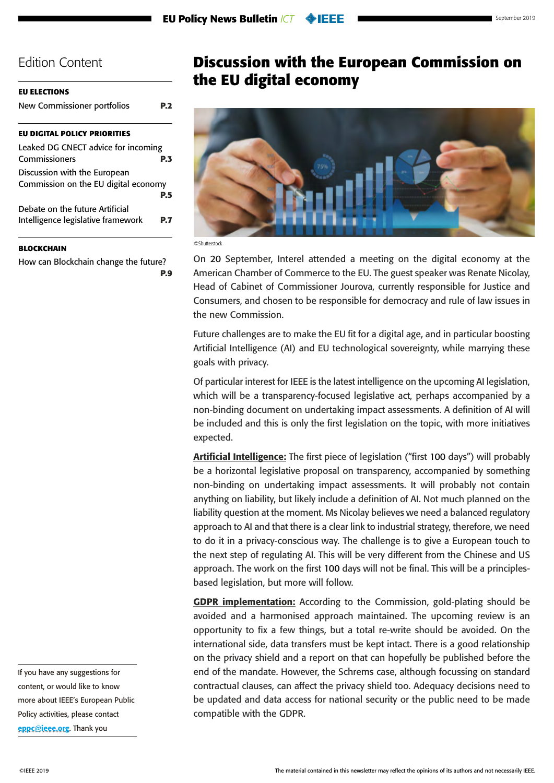<span id="page-4-0"></span>

| EU ELECTIONS |
|--------------|
|              |

| New Commissioner portfolios | <b>P.2</b> |
|-----------------------------|------------|
|                             |            |

#### **[EU DIGITAL POLICY PRIORITIES](#page-2-0)**

| Leaked DG CNECT advice for incoming  |            |
|--------------------------------------|------------|
| Commissioners                        | <b>P.3</b> |
| Discussion with the European         |            |
| Commission on the EU digital economy |            |
|                                      | <b>P.5</b> |
| Debate on the future Artificial      |            |
| Intelligence legislative framework   | <b>P.7</b> |

#### **[BLOCKCHAIN](#page-8-0)**

[How can Blockchain change the future?](#page-8-0) **[P.9](#page-8-0)**

**Discussion with the European Commission on the EU digital economy**



On 20 September, Interel attended a meeting on the digital economy at the American Chamber of Commerce to the EU. The guest speaker was Renate Nicolay, Head of Cabinet of Commissioner Jourova, currently responsible for Justice and Consumers, and chosen to be responsible for democracy and rule of law issues in the new Commission.

Future challenges are to make the EU fit for a digital age, and in particular boosting Artificial Intelligence (AI) and EU technological sovereignty, while marrying these goals with privacy.

Of particular interest for IEEE is the latest intelligence on the upcoming AI legislation, which will be a transparency-focused legislative act, perhaps accompanied by a non-binding document on undertaking impact assessments. A definition of AI will be included and this is only the first legislation on the topic, with more initiatives expected.

Artificial Intelligence: The first piece of legislation ("first 100 days") will probably be a horizontal legislative proposal on transparency, accompanied by something non-binding on undertaking impact assessments. It will probably not contain anything on liability, but likely include a definition of AI. Not much planned on the liability question at the moment. Ms Nicolay believes we need a balanced regulatory approach to AI and that there is a clear link to industrial strategy, therefore, we need to do it in a privacy-conscious way. The challenge is to give a European touch to the next step of regulating AI. This will be very different from the Chinese and US approach. The work on the first 100 days will not be final. This will be a principlesbased legislation, but more will follow.

GDPR implementation: According to the Commission, gold-plating should be avoided and a harmonised approach maintained. The upcoming review is an opportunity to fix a few things, but a total re-write should be avoided. On the international side, data transfers must be kept intact. There is a good relationship on the privacy shield and a report on that can hopefully be published before the end of the mandate. However, the Schrems case, although focussing on standard contractual clauses, can affect the privacy shield too. Adequacy decisions need to be updated and data access for national security or the public need to be made compatible with the GDPR.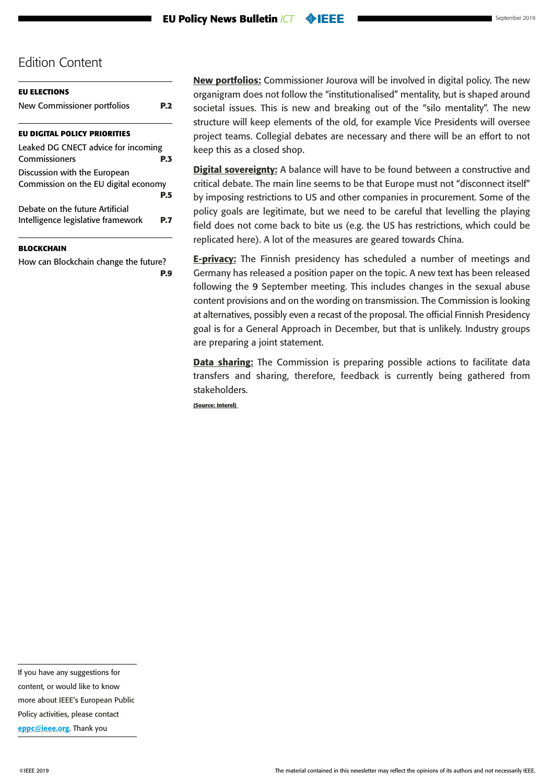| <b>EU ELECTIONS</b>                  |     |
|--------------------------------------|-----|
| New Commissioner portfolios          |     |
| <b>EU DIGITAL POLICY PRIORITIES</b>  |     |
| Leaked DG CNECT advice for incoming  |     |
| Commissioners                        | PЗ  |
| Discussion with the European         |     |
| Commission on the EU digital economy |     |
|                                      | P.5 |
| Debate on the future Artificial      |     |
| Intelligence legislative framework   |     |

#### **[BLOCKCHAIN](#page-8-0)**

[How can Blockchain change the future?](#page-8-0) **[P.9](#page-8-0)** New portfolios: Commissioner Jourova will be involved in digital policy. The new organigram does not follow the "institutionalised" mentality, but is shaped around societal issues. This is new and breaking out of the "silo mentality". The new structure will keep elements of the old, for example Vice Presidents will oversee project teams. Collegial debates are necessary and there will be an effort to not keep this as a closed shop.

Digital sovereignty: A balance will have to be found between a constructive and critical debate. The main line seems to be that Europe must not "disconnect itself" by imposing restrictions to US and other companies in procurement. Some of the policy goals are legitimate, but we need to be careful that levelling the playing field does not come back to bite us (e.g. the US has restrictions, which could be replicated here). A lot of the measures are geared towards China.

**E-privacy:** The Finnish presidency has scheduled a number of meetings and Germany has released a position paper on the topic. A new text has been released following the 9 September meeting. This includes changes in the sexual abuse content provisions and on the wording on transmission. The Commission is looking at alternatives, possibly even a recast of the proposal. The official Finnish Presidency goal is for a General Approach in December, but that is unlikely. Industry groups are preparing a joint statement.

**Data sharing:** The Commission is preparing possible actions to facilitate data transfers and sharing, therefore, feedback is currently being gathered from stakeholders.

**(Source: Interel)**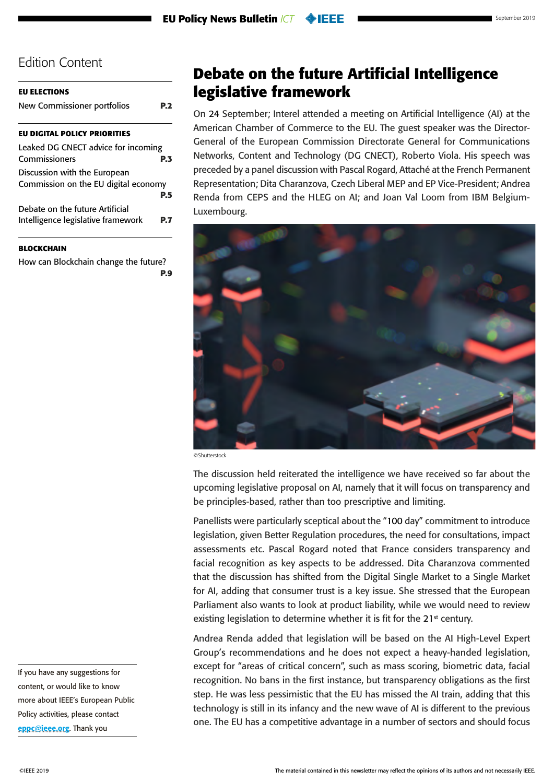<span id="page-6-0"></span>

| EU ELECTIONS                                                          |     |
|-----------------------------------------------------------------------|-----|
| New Commissioner portfolios                                           |     |
| <b>EU DIGITAL POLICY PRIORITIES</b>                                   |     |
| Leaked DG CNECT advice for incoming<br>Commissioners                  | P.3 |
| Discussion with the European<br>Commission on the EU digital economy  |     |
| Debate on the future Artificial<br>Intelligence legislative framework | P.5 |
|                                                                       |     |

#### **[BLOCKCHAIN](#page-8-0)**

[How can Blockchain change the future?](#page-8-0) **[P.9](#page-8-0)**

**Debate on the future Artificial Intelligence legislative framework** 

On 24 September; Interel attended a meeting on Artificial Intelligence (AI) at the American Chamber of Commerce to the EU. The guest speaker was the Director-General of the European Commission Directorate General for Communications Networks, Content and Technology (DG CNECT), Roberto Viola. His speech was preceded by a panel discussion with Pascal Rogard, Attaché at the French Permanent Representation; Dita Charanzova, Czech Liberal MEP and EP Vice-President; Andrea Renda from CEPS and the HLEG on AI; and Joan Val Loom from IBM Belgium-Luxembourg.



©Shutterstock

The discussion held reiterated the intelligence we have received so far about the upcoming legislative proposal on AI, namely that it will focus on transparency and be principles-based, rather than too prescriptive and limiting.

Panellists were particularly sceptical about the "100 day" commitment to introduce legislation, given Better Regulation procedures, the need for consultations, impact assessments etc. Pascal Rogard noted that France considers transparency and facial recognition as key aspects to be addressed. Dita Charanzova commented that the discussion has shifted from the Digital Single Market to a Single Market for AI, adding that consumer trust is a key issue. She stressed that the European Parliament also wants to look at product liability, while we would need to review existing legislation to determine whether it is fit for the 21<sup>st</sup> century.

Andrea Renda added that legislation will be based on the AI High-Level Expert Group's recommendations and he does not expect a heavy-handed legislation, except for "areas of critical concern", such as mass scoring, biometric data, facial recognition. No bans in the first instance, but transparency obligations as the first step. He was less pessimistic that the EU has missed the AI train, adding that this technology is still in its infancy and the new wave of AI is different to the previous one. The EU has a competitive advantage in a number of sectors and should focus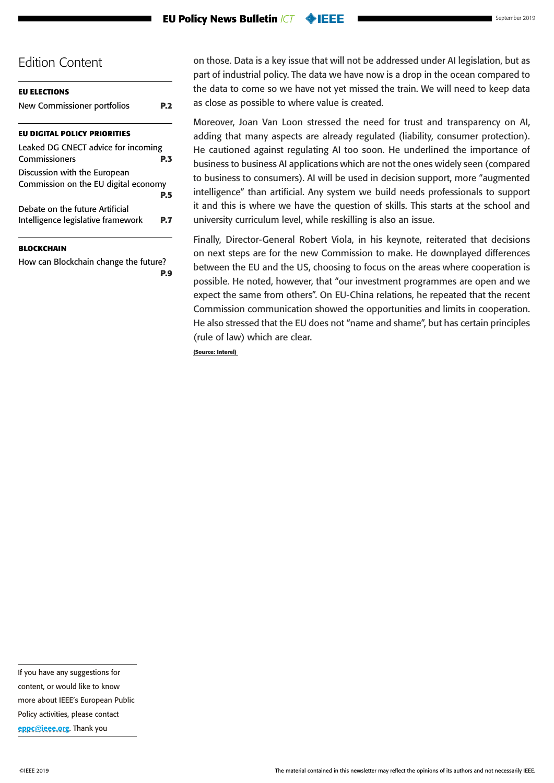#### **EU Policy News Bulletin** *ICT* **OEEE**

### Edition Content

| <b>EU ELECTIONS</b>                                                   |           |
|-----------------------------------------------------------------------|-----------|
| New Commissioner portfolios                                           | P.2       |
| <b>EU DIGITAL POLICY PRIORITIES</b>                                   |           |
| Leaked DG CNECT advice for incoming<br>Commissioners                  | P.3       |
| Discussion with the European<br>Commission on the EU digital economy  |           |
| Debate on the future Artificial<br>Intelligence legislative framework | P.5<br>PJ |
|                                                                       |           |

#### **[BLOCKCHAIN](#page-8-0)**

[How can Blockchain change the future?](#page-8-0) **[P.9](#page-8-0)** on those. Data is a key issue that will not be addressed under AI legislation, but as part of industrial policy. The data we have now is a drop in the ocean compared to the data to come so we have not yet missed the train. We will need to keep data as close as possible to where value is created.

Moreover, Joan Van Loon stressed the need for trust and transparency on AI, adding that many aspects are already regulated (liability, consumer protection). He cautioned against regulating AI too soon. He underlined the importance of business to business AI applications which are not the ones widely seen (compared to business to consumers). AI will be used in decision support, more "augmented intelligence" than artificial. Any system we build needs professionals to support it and this is where we have the question of skills. This starts at the school and university curriculum level, while reskilling is also an issue.

Finally, Director-General Robert Viola, in his keynote, reiterated that decisions on next steps are for the new Commission to make. He downplayed differences between the EU and the US, choosing to focus on the areas where cooperation is possible. He noted, however, that "our investment programmes are open and we expect the same from others". On EU-China relations, he repeated that the recent Commission communication showed the opportunities and limits in cooperation. He also stressed that the EU does not "name and shame", but has certain principles (rule of law) which are clear.

**(Source: Interel)**